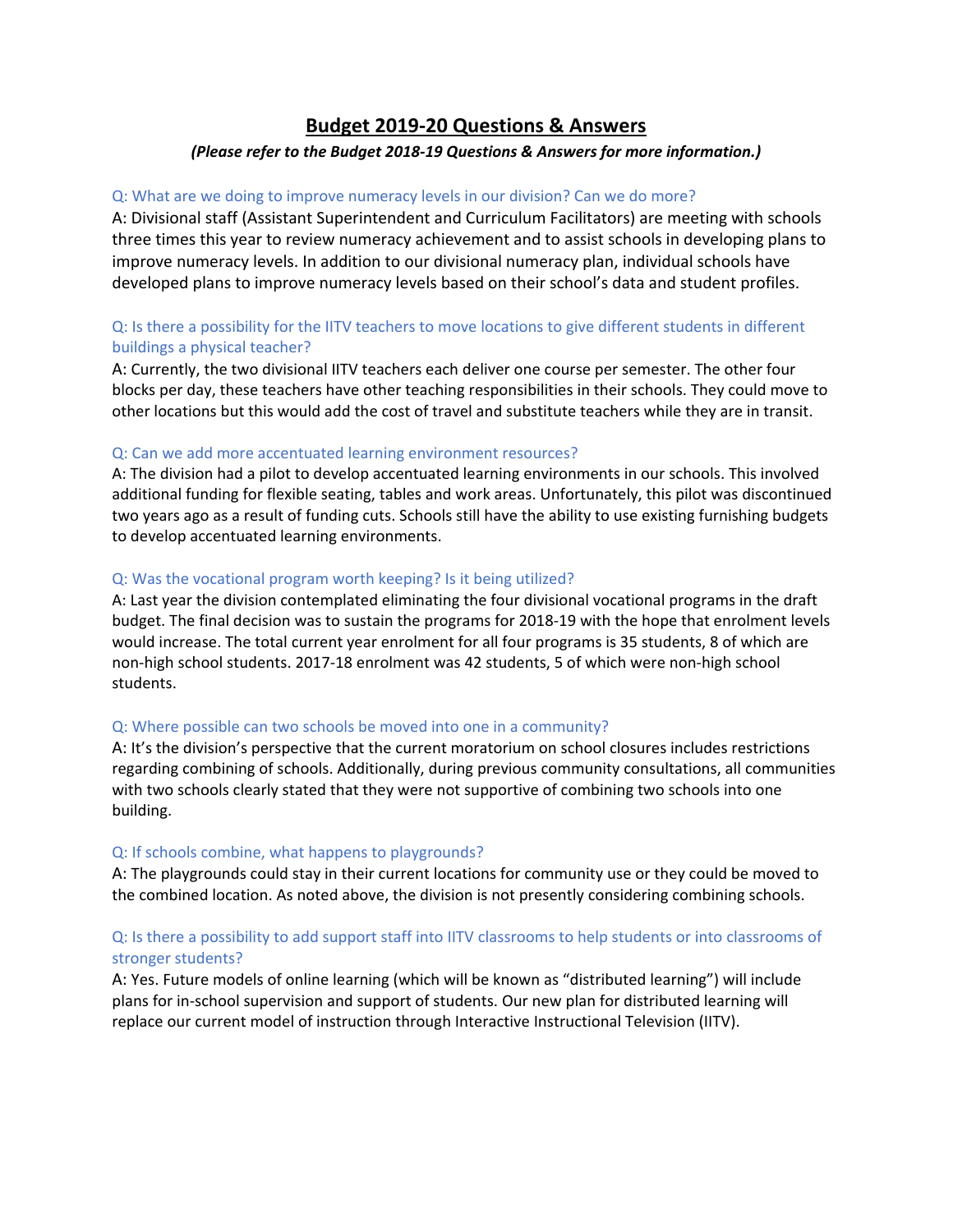# **Budget 2019‐20 Questions & Answers** *(Please refer to the Budget 2018‐19 Questions & Answers for more information.)*

# Q: What are we doing to improve numeracy levels in our division? Can we do more?

A: Divisional staff (Assistant Superintendent and Curriculum Facilitators) are meeting with schools three times this year to review numeracy achievement and to assist schools in developing plans to improve numeracy levels. In addition to our divisional numeracy plan, individual schools have developed plans to improve numeracy levels based on their school's data and student profiles.

# Q: Is there a possibility for the IITV teachers to move locations to give different students in different buildings a physical teacher?

A: Currently, the two divisional IITV teachers each deliver one course per semester. The other four blocks per day, these teachers have other teaching responsibilities in their schools. They could move to other locations but this would add the cost of travel and substitute teachers while they are in transit.

### Q: Can we add more accentuated learning environment resources?

A: The division had a pilot to develop accentuated learning environments in our schools. This involved additional funding for flexible seating, tables and work areas. Unfortunately, this pilot was discontinued two years ago as a result of funding cuts. Schools still have the ability to use existing furnishing budgets to develop accentuated learning environments.

### Q: Was the vocational program worth keeping? Is it being utilized?

A: Last year the division contemplated eliminating the four divisional vocational programs in the draft budget. The final decision was to sustain the programs for 2018‐19 with the hope that enrolment levels would increase. The total current year enrolment for all four programs is 35 students, 8 of which are non‐high school students. 2017‐18 enrolment was 42 students, 5 of which were non‐high school students.

### Q: Where possible can two schools be moved into one in a community?

A: It's the division's perspective that the current moratorium on school closures includes restrictions regarding combining of schools. Additionally, during previous community consultations, all communities with two schools clearly stated that they were not supportive of combining two schools into one building.

### Q: If schools combine, what happens to playgrounds?

A: The playgrounds could stay in their current locations for community use or they could be moved to the combined location. As noted above, the division is not presently considering combining schools.

# Q: Is there a possibility to add support staff into IITV classrooms to help students or into classrooms of stronger students?

A: Yes. Future models of online learning (which will be known as "distributed learning") will include plans for in‐school supervision and support of students. Our new plan for distributed learning will replace our current model of instruction through Interactive Instructional Television (IITV).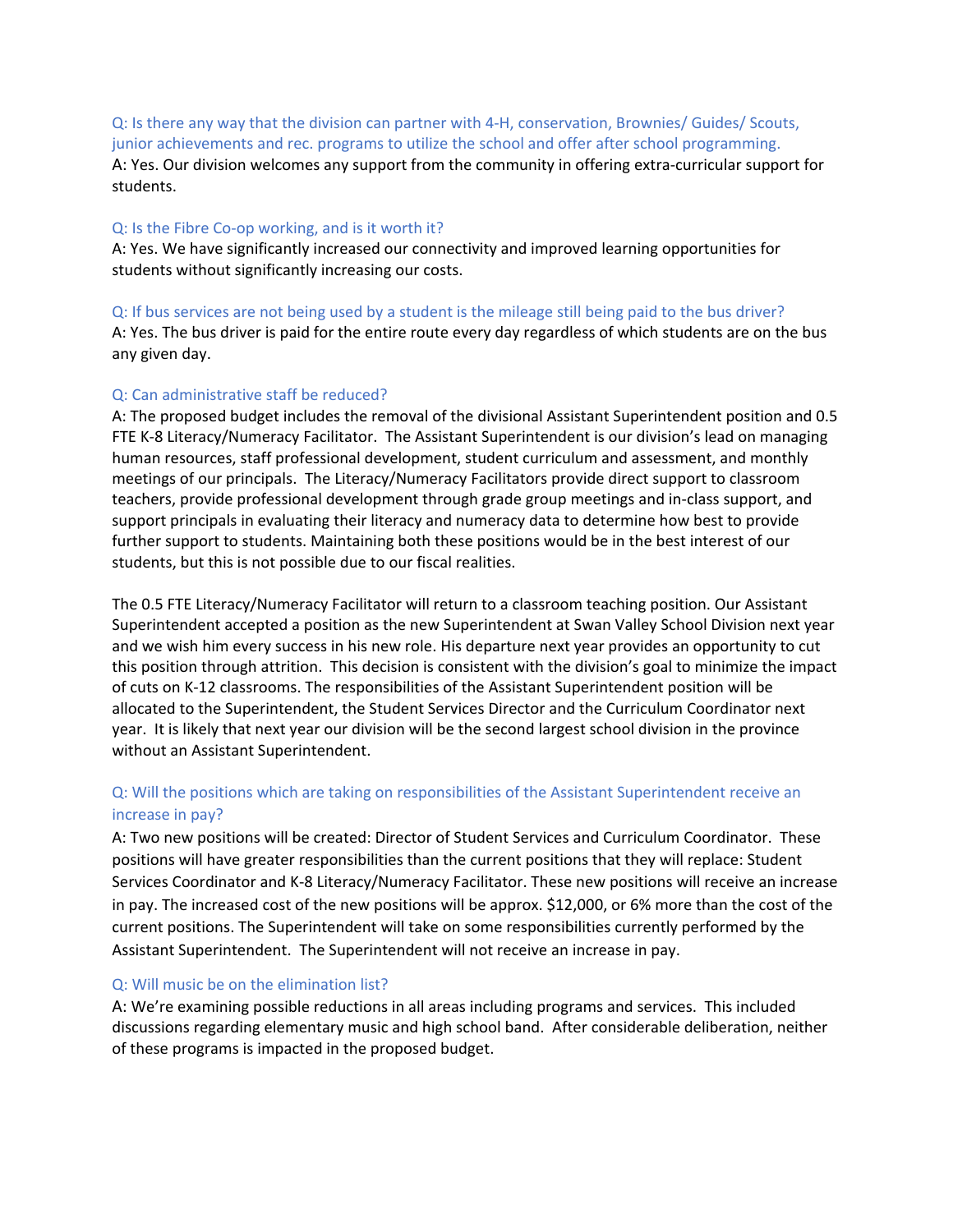Q: Is there any way that the division can partner with 4‐H, conservation, Brownies/ Guides/ Scouts, junior achievements and rec. programs to utilize the school and offer after school programming. A: Yes. Our division welcomes any support from the community in offering extra-curricular support for students.

#### Q: Is the Fibre Co-op working, and is it worth it?

A: Yes. We have significantly increased our connectivity and improved learning opportunities for students without significantly increasing our costs.

# Q: If bus services are not being used by a student is the mileage still being paid to the bus driver?

A: Yes. The bus driver is paid for the entire route every day regardless of which students are on the bus any given day.

#### Q: Can administrative staff be reduced?

A: The proposed budget includes the removal of the divisional Assistant Superintendent position and 0.5 FTE K‐8 Literacy/Numeracy Facilitator. The Assistant Superintendent is our division's lead on managing human resources, staff professional development, student curriculum and assessment, and monthly meetings of our principals. The Literacy/Numeracy Facilitators provide direct support to classroom teachers, provide professional development through grade group meetings and in‐class support, and support principals in evaluating their literacy and numeracy data to determine how best to provide further support to students. Maintaining both these positions would be in the best interest of our students, but this is not possible due to our fiscal realities.

The 0.5 FTE Literacy/Numeracy Facilitator will return to a classroom teaching position. Our Assistant Superintendent accepted a position as the new Superintendent at Swan Valley School Division next year and we wish him every success in his new role. His departure next year provides an opportunity to cut this position through attrition. This decision is consistent with the division's goal to minimize the impact of cuts on K‐12 classrooms. The responsibilities of the Assistant Superintendent position will be allocated to the Superintendent, the Student Services Director and the Curriculum Coordinator next year. It is likely that next year our division will be the second largest school division in the province without an Assistant Superintendent.

# Q: Will the positions which are taking on responsibilities of the Assistant Superintendent receive an increase in pay?

A: Two new positions will be created: Director of Student Services and Curriculum Coordinator. These positions will have greater responsibilities than the current positions that they will replace: Student Services Coordinator and K‐8 Literacy/Numeracy Facilitator. These new positions will receive an increase in pay. The increased cost of the new positions will be approx. \$12,000, or 6% more than the cost of the current positions. The Superintendent will take on some responsibilities currently performed by the Assistant Superintendent. The Superintendent will not receive an increase in pay.

#### Q: Will music be on the elimination list?

A: We're examining possible reductions in all areas including programs and services. This included discussions regarding elementary music and high school band. After considerable deliberation, neither of these programs is impacted in the proposed budget.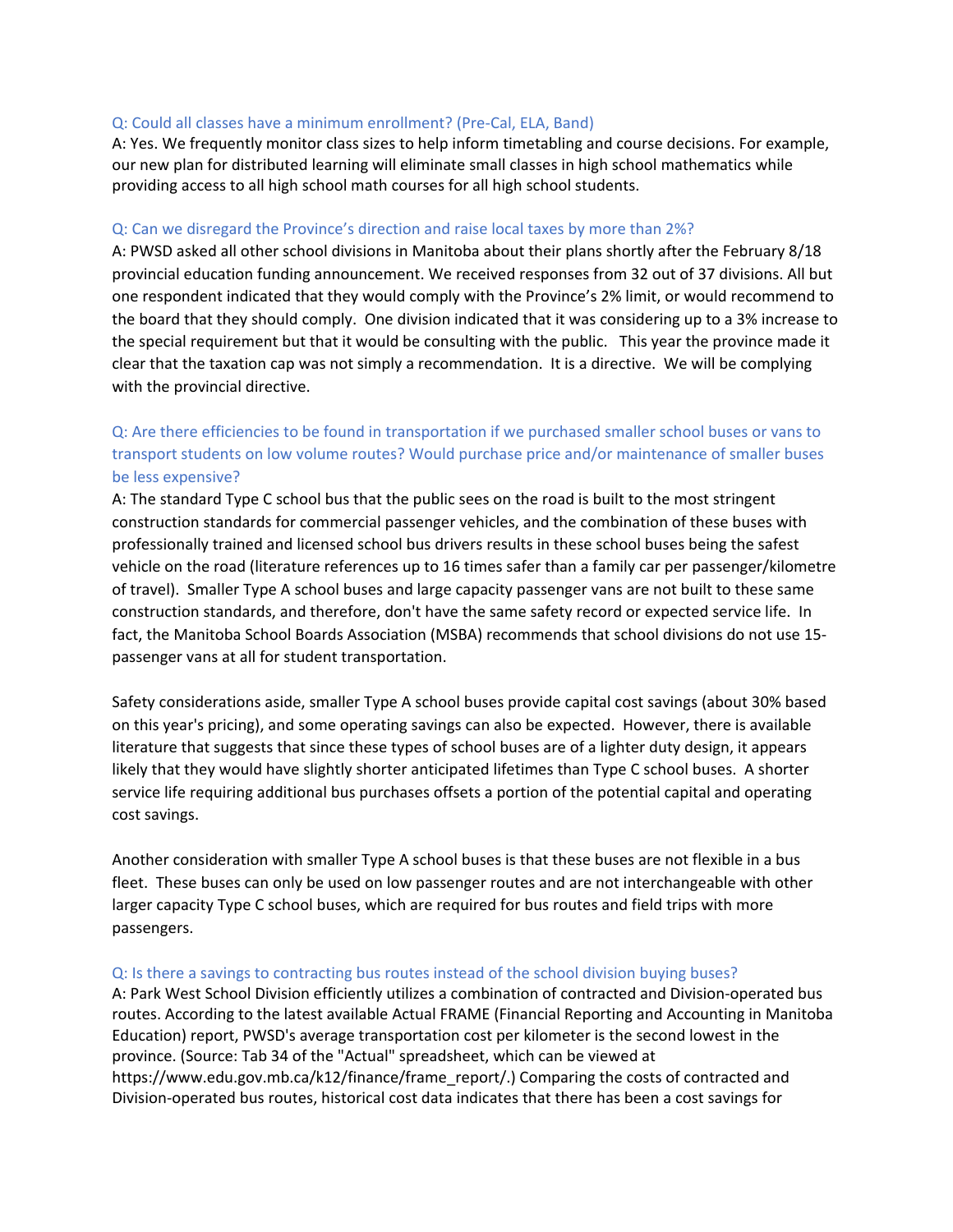#### Q: Could all classes have a minimum enrollment? (Pre‐Cal, ELA, Band)

A: Yes. We frequently monitor class sizes to help inform timetabling and course decisions. For example, our new plan for distributed learning will eliminate small classes in high school mathematics while providing access to all high school math courses for all high school students.

#### Q: Can we disregard the Province's direction and raise local taxes by more than 2%?

A: PWSD asked all other school divisions in Manitoba about their plans shortly after the February 8/18 provincial education funding announcement. We received responses from 32 out of 37 divisions. All but one respondent indicated that they would comply with the Province's 2% limit, or would recommend to the board that they should comply. One division indicated that it was considering up to a 3% increase to the special requirement but that it would be consulting with the public. This year the province made it clear that the taxation cap was not simply a recommendation. It is a directive. We will be complying with the provincial directive.

# Q: Are there efficiencies to be found in transportation if we purchased smaller school buses or vans to transport students on low volume routes? Would purchase price and/or maintenance of smaller buses be less expensive?

A: The standard Type C school bus that the public sees on the road is built to the most stringent construction standards for commercial passenger vehicles, and the combination of these buses with professionally trained and licensed school bus drivers results in these school buses being the safest vehicle on the road (literature references up to 16 times safer than a family car per passenger/kilometre of travel). Smaller Type A school buses and large capacity passenger vans are not built to these same construction standards, and therefore, don't have the same safety record or expected service life. In fact, the Manitoba School Boards Association (MSBA) recommends that school divisions do not use 15‐ passenger vans at all for student transportation.

Safety considerations aside, smaller Type A school buses provide capital cost savings (about 30% based on this year's pricing), and some operating savings can also be expected. However, there is available literature that suggests that since these types of school buses are of a lighter duty design, it appears likely that they would have slightly shorter anticipated lifetimes than Type C school buses. A shorter service life requiring additional bus purchases offsets a portion of the potential capital and operating cost savings.

Another consideration with smaller Type A school buses is that these buses are not flexible in a bus fleet. These buses can only be used on low passenger routes and are not interchangeable with other larger capacity Type C school buses, which are required for bus routes and field trips with more passengers.

#### Q: Is there a savings to contracting bus routes instead of the school division buying buses?

A: Park West School Division efficiently utilizes a combination of contracted and Division‐operated bus routes. According to the latest available Actual FRAME (Financial Reporting and Accounting in Manitoba Education) report, PWSD's average transportation cost per kilometer is the second lowest in the province. (Source: Tab 34 of the "Actual" spreadsheet, which can be viewed at https://www.edu.gov.mb.ca/k12/finance/frame\_report/.) Comparing the costs of contracted and Division‐operated bus routes, historical cost data indicates that there has been a cost savings for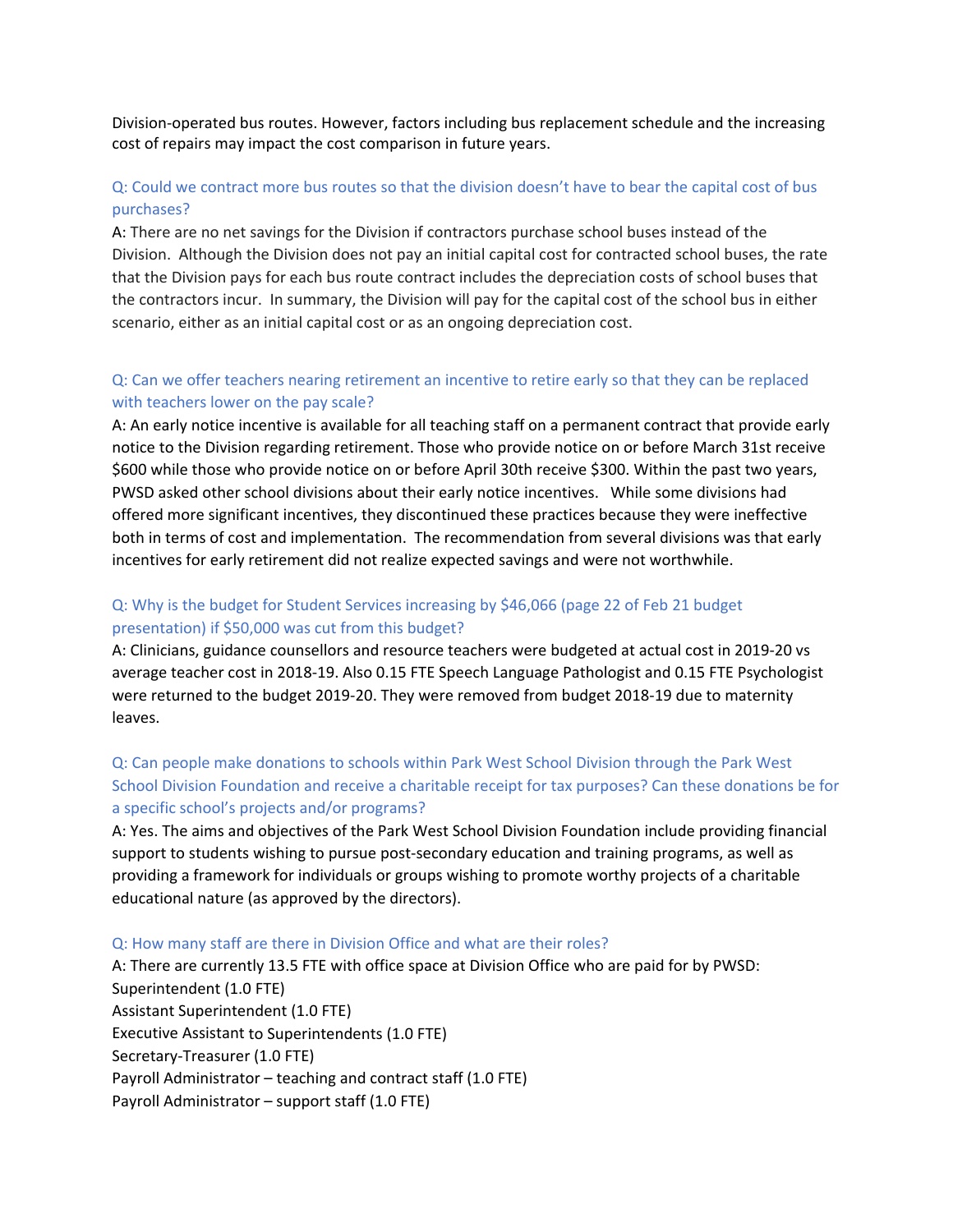Division‐operated bus routes. However, factors including bus replacement schedule and the increasing cost of repairs may impact the cost comparison in future years.

### Q: Could we contract more bus routes so that the division doesn't have to bear the capital cost of bus purchases?

A: There are no net savings for the Division if contractors purchase school buses instead of the Division. Although the Division does not pay an initial capital cost for contracted school buses, the rate that the Division pays for each bus route contract includes the depreciation costs of school buses that the contractors incur. In summary, the Division will pay for the capital cost of the school bus in either scenario, either as an initial capital cost or as an ongoing depreciation cost.

# Q: Can we offer teachers nearing retirement an incentive to retire early so that they can be replaced with teachers lower on the pay scale?

A: An early notice incentive is available for all teaching staff on a permanent contract that provide early notice to the Division regarding retirement. Those who provide notice on or before March 31st receive \$600 while those who provide notice on or before April 30th receive \$300. Within the past two years, PWSD asked other school divisions about their early notice incentives. While some divisions had offered more significant incentives, they discontinued these practices because they were ineffective both in terms of cost and implementation. The recommendation from several divisions was that early incentives for early retirement did not realize expected savings and were not worthwhile.

## Q: Why is the budget for Student Services increasing by \$46,066 (page 22 of Feb 21 budget presentation) if \$50,000 was cut from this budget?

A: Clinicians, guidance counsellors and resource teachers were budgeted at actual cost in 2019‐20 vs average teacher cost in 2018‐19. Also 0.15 FTE Speech Language Pathologist and 0.15 FTE Psychologist were returned to the budget 2019‐20. They were removed from budget 2018‐19 due to maternity leaves.

# Q: Can people make donations to schools within Park West School Division through the Park West School Division Foundation and receive a charitable receipt for tax purposes? Can these donations be for a specific school's projects and/or programs?

A: Yes. The aims and objectives of the Park West School Division Foundation include providing financial support to students wishing to pursue post‐secondary education and training programs, as well as providing a framework for individuals or groups wishing to promote worthy projects of a charitable educational nature (as approved by the directors).

#### Q: How many staff are there in Division Office and what are their roles?

A: There are currently 13.5 FTE with office space at Division Office who are paid for by PWSD: Superintendent (1.0 FTE) Assistant Superintendent (1.0 FTE) Executive Assistant to Superintendents (1.0 FTE) Secretary‐Treasurer (1.0 FTE) Payroll Administrator – teaching and contract staff (1.0 FTE) Payroll Administrator – support staff (1.0 FTE)